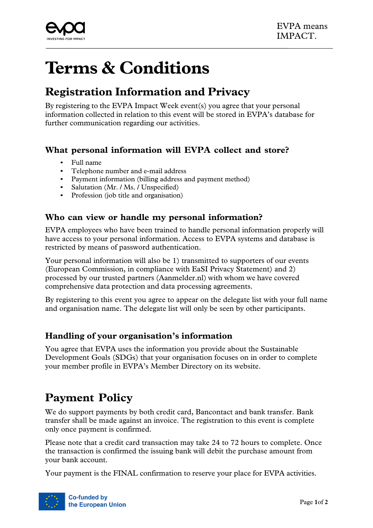

# **Terms & Conditions**

# **Registration Information and Privacy**

By registering to the EVPA Impact Week event(s) you agree that your personal information collected in relation to this event will be stored in EVPA's database for further communication regarding our activities.

### **What personal information will EVPA collect and store?**

- Full name
- Telephone number and e-mail address
- Payment information (billing address and payment method)
- Salutation (Mr. / Ms. / Unspecified)
- Profession (job title and organisation)

#### **Who can view or handle my personal information?**

EVPA employees who have been trained to handle personal information properly will have access to your personal information. Access to EVPA systems and database is restricted by means of password authentication.

Your personal information will also be 1) transmitted to supporters of our events (European Commission, in compliance with EaSI Privacy Statement) and 2) processed by our trusted partners (Aanmelder.nl) with whom we have covered comprehensive data protection and data processing agreements.

By registering to this event you agree to appear on the delegate list with your full name and organisation name. The delegate list will only be seen by other participants.

### **Handling of your organisation's information**

You agree that EVPA uses the information you provide about the Sustainable Development Goals (SDGs) that your organisation focuses on in order to complete your member profile in EVPA's Member Directory on its website.

## **Payment Policy**

We do support payments by both credit card, Bancontact and bank transfer. Bank transfer shall be made against an invoice. The registration to this event is complete only once payment is confirmed.

Please note that a credit card transaction may take 24 to 72 hours to complete. Once the transaction is confirmed the issuing bank will debit the purchase amount from your bank account.

Your payment is the FINAL confirmation to reserve your place for EVPA activities.